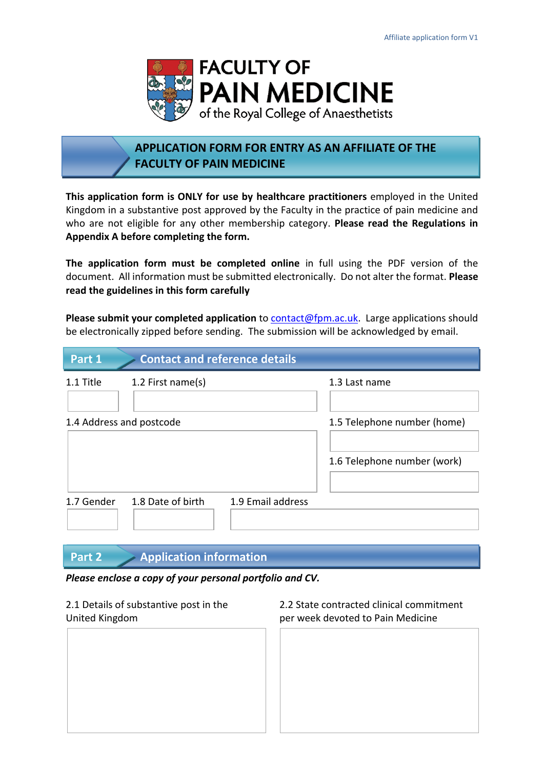

# **APPLICATION FORM FOR ENTRY AS AN AFFILIATE OF THE FACULTY OF PAIN MEDICINE**

**This application form is ONLY for use by healthcare practitioners** employed in the United Kingdom in a substantive post approved by the Faculty in the practice of pain medicine and who are not eligible for any other membership category. **Please read the Regulations in Appendix A before completing the form.**

**The application form must be completed online** in full using the PDF version of the document. All information must be submitted electronically. Do not alter the format. **Please read the guidelines in this form carefully**

Please submit your completed application to **contact@fpm.ac.uk.** Large applications should be electronically zipped before sending. The submission will be acknowledged by email.

| Part 1                   | <b>Contact and reference details</b>   |                                                            |
|--------------------------|----------------------------------------|------------------------------------------------------------|
| 1.1 Title                | 1.2 First name(s)                      | 1.3 Last name                                              |
| 1.4 Address and postcode |                                        | 1.5 Telephone number (home)<br>1.6 Telephone number (work) |
| 1.7 Gender               | 1.9 Email address<br>1.8 Date of birth |                                                            |

## **Part 2 Application information**

### *Please enclose a copy of your personal portfolio and CV.*

United Kingdom per week devoted to Pain Medicine

2.1 Details of substantive post in the 2.2 State contracted clinical commitment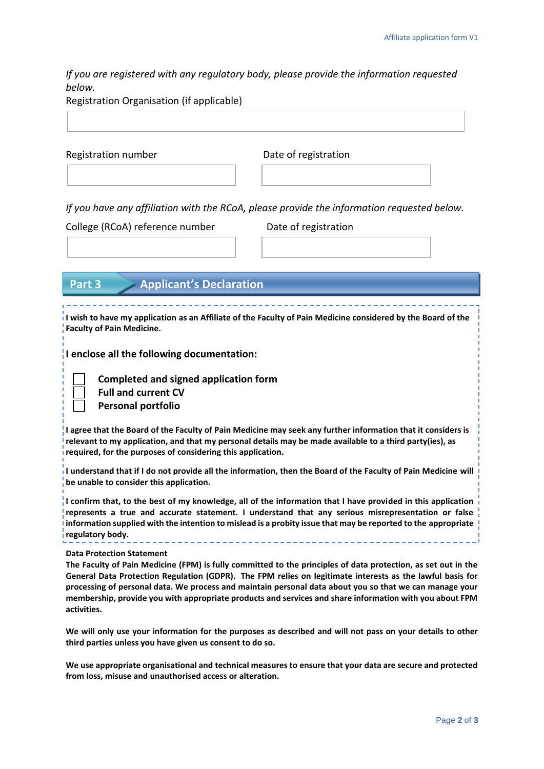*If you are registered with any regulatory body, please provide the information requested below.* 

Registration number Date of registration

*If you have any affiliation with the RCoA, please provide the information requested below.* 

College (RCoA) reference number Date of registration

|  | Part 3 |  |  | <b>Applicant's Declaration</b> |
|--|--------|--|--|--------------------------------|
|--|--------|--|--|--------------------------------|

**I wish to have my application as an Affiliate of the Faculty of Pain Medicine considered by the Board of the Faculty of Pain Medicine.**

**I enclose all the following documentation:**

 **Completed and signed application form Full and current CV Personal portfolio**

**I agree that the Board of the Faculty of Pain Medicine may seek any further information that it considers is relevant to my application, and that my personal details may be made available to a third party(ies), as required, for the purposes of considering this application.**

**I understand that if I do not provide all the information, then the Board of the Faculty of Pain Medicine will be unable to consider this application.**

**I confirm that, to the best of my knowledge, all of the information that I have provided in this application represents a true and accurate statement. I understand that any serious misrepresentation or false information supplied with the intention to mislead is a probity issue that may be reported to the appropriate regulatory body.**

**Data Protection Statement** 

**The Faculty of Pain Medicine (FPM) is fully committed to the principles of data protection, as set out in the General Data Protection Regulation (GDPR). The FPM relies on legitimate interests as the lawful basis for processing of personal data. We process and maintain personal data about you so that we can manage your membership, provide you with appropriate products and services and share information with you about FPM activities.**

**We will only use your information for the purposes as described and will not pass on your details to other third parties unless you have given us consent to do so.**

**We use appropriate organisational and technical measures to ensure that your data are secure and protected from loss, misuse and unauthorised access or alteration.**